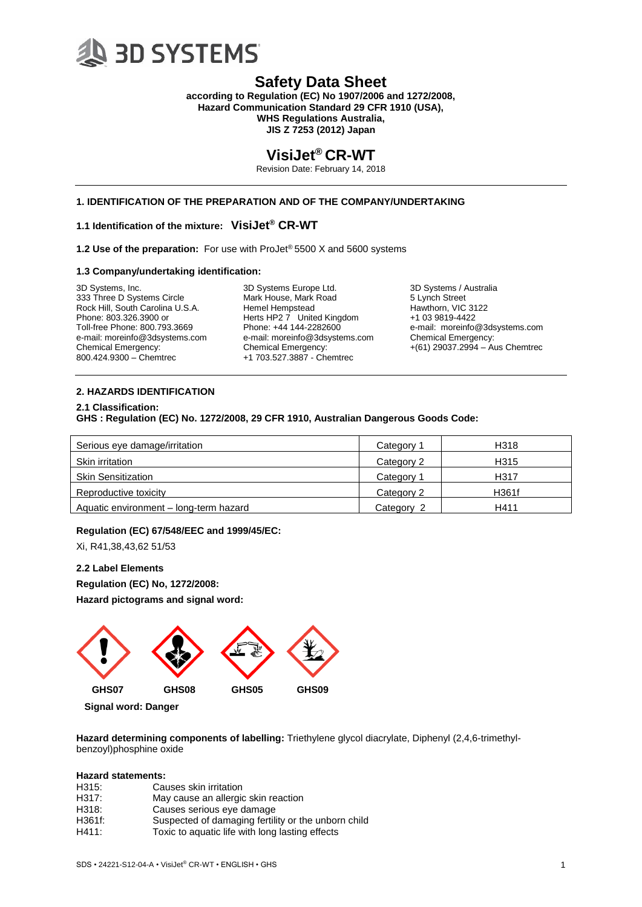

**according to Regulation (EC) No 1907/2006 and 1272/2008, Hazard Communication Standard 29 CFR 1910 (USA), WHS Regulations Australia, JIS Z 7253 (2012) Japan**

## **VisiJet® CR-WT**

Revision Date: February 14, 2018

## **1. IDENTIFICATION OF THE PREPARATION AND OF THE COMPANY/UNDERTAKING**

## **1.1 Identification of the mixture: VisiJet® CR-WT**

**1.2 Use of the preparation:** For use with ProJet® 5500 X and 5600 systems

#### **1.3 Company/undertaking identification:**

3D Systems, Inc. 333 Three D Systems Circle Rock Hill, South Carolina U.S.A. Phone: 803.326.3900 or Toll-free Phone: 800.793.3669 e-mail: moreinfo@3dsystems.com Chemical Emergency: 800.424.9300 – Chemtrec

3D Systems Europe Ltd. Mark House, Mark Road Hemel Hempstead Herts HP2 7 United Kingdom Phone: +44 144-2282600 e-mail: moreinfo@3dsystems.com Chemical Emergency: +1 703.527.3887 - Chemtrec

3D Systems / Australia 5 Lynch Street Hawthorn, VIC 3122 +1 03 9819-4422 e-mail: moreinfo@3dsystems.com Chemical Emergency:  $+(61)$  29037.2994 – Aus Chemtrec

## **2. HAZARDS IDENTIFICATION**

**2.1 Classification: GHS : Regulation (EC) No. 1272/2008, 29 CFR 1910, Australian Dangerous Goods Code:**

| Serious eye damage/irritation          | Category 1 | H318  |
|----------------------------------------|------------|-------|
| Skin irritation                        | Category 2 | H315  |
| <b>Skin Sensitization</b>              | Category 1 | H317  |
| Reproductive toxicity                  | Category 2 | H361f |
| Aquatic environment - long-term hazard | Category 2 | H411  |

#### **Regulation (EC) 67/548/EEC and 1999/45/EC:**

Xi, R41,38,43,62 51/53

## **2.2 Label Elements**

**Regulation (EC) No, 1272/2008:**

**Hazard pictograms and signal word:**



 **Signal word: Danger**

**Hazard determining components of labelling:** Triethylene glycol diacrylate, Diphenyl (2,4,6-trimethylbenzoyl)phosphine oxide

#### **Hazard statements:**

| H315:  | Causes skin irritation                              |
|--------|-----------------------------------------------------|
| H317:  | May cause an allergic skin reaction                 |
| H318:  | Causes serious eye damage                           |
| H361f: | Suspected of damaging fertility or the unborn child |
| H411:  | Toxic to aquatic life with long lasting effects     |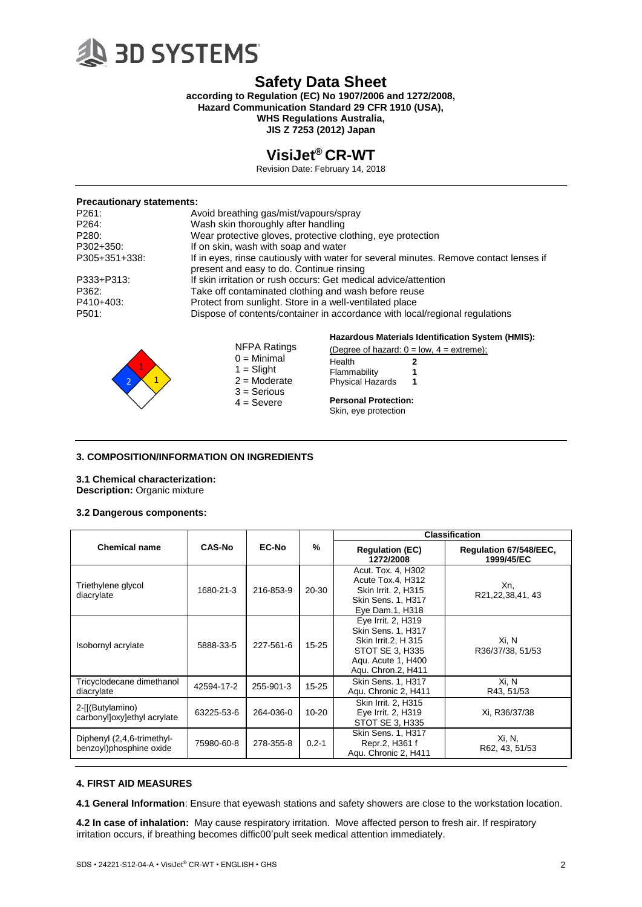

**according to Regulation (EC) No 1907/2006 and 1272/2008, Hazard Communication Standard 29 CFR 1910 (USA), WHS Regulations Australia,**

**JIS Z 7253 (2012) Japan**

## **VisiJet® CR-WT**

Revision Date: February 14, 2018

#### **Precautionary statements:**

| P261:         | Avoid breathing gas/mist/vapours/spray                                                                                            |                                                   |  |
|---------------|-----------------------------------------------------------------------------------------------------------------------------------|---------------------------------------------------|--|
| P264:         | Wash skin thoroughly after handling                                                                                               |                                                   |  |
| P280:         | Wear protective gloves, protective clothing, eye protection                                                                       |                                                   |  |
| P302+350:     | If on skin, wash with soap and water                                                                                              |                                                   |  |
| P305+351+338: | If in eyes, rinse cautiously with water for several minutes. Remove contact lenses if<br>present and easy to do. Continue rinsing |                                                   |  |
| P333+P313:    | If skin irritation or rush occurs: Get medical advice/attention                                                                   |                                                   |  |
| P362:         | Take off contaminated clothing and wash before reuse                                                                              |                                                   |  |
| P410+403:     | Protect from sunlight. Store in a well-ventilated place                                                                           |                                                   |  |
| P501:         | Dispose of contents/container in accordance with local/regional regulations                                                       |                                                   |  |
|               |                                                                                                                                   | Hazardous Materials Identification System (HMIS): |  |
|               | NFPA Ratings                                                                                                                      | (Degree of hazard: $0 = low$ , $4 = extreme$ );   |  |



## $0 =$  Minimal  $1 =$  Slight  $2 =$ Moderate 3 = Serious  $4 =$  Severe

| (Degree of nazaru: v = low, 4 = e. |   |  |
|------------------------------------|---|--|
| Health                             | 2 |  |
| Flammability                       | 1 |  |
| <b>Physical Hazards</b>            | 1 |  |

## **Personal Protection:**

Skin, eye protection

## **3. COMPOSITION/INFORMATION ON INGREDIENTS**

## **3.1 Chemical characterization:**

**Description:** Organic mixture

## **3.2 Dangerous components:**

|                                                       |               |              |               | <b>Classification</b>                                                                                                                 |                                      |
|-------------------------------------------------------|---------------|--------------|---------------|---------------------------------------------------------------------------------------------------------------------------------------|--------------------------------------|
| <b>Chemical name</b>                                  | <b>CAS-No</b> | <b>EC-No</b> | $\frac{9}{6}$ | <b>Regulation (EC)</b><br>1272/2008                                                                                                   | Regulation 67/548/EEC,<br>1999/45/EC |
| Triethylene glycol<br>diacrylate                      | 1680-21-3     | 216-853-9    | 20-30         | Acut. Tox. 4, H302<br>Acute Tox.4, H312<br>Skin Irrit. 2, H315<br>Skin Sens. 1, H317<br>Eye Dam.1, H318                               | Xn.<br>R21,22,38,41,43               |
| Isobornyl acrylate                                    | 5888-33-5     | 227-561-6    | $15 - 25$     | Eye Irrit. 2, H319<br><b>Skin Sens. 1. H317</b><br>Skin Irrit.2, H 315<br>STOT SE 3, H335<br>Agu. Acute 1, H400<br>Agu. Chron.2, H411 | Xi, N<br>R36/37/38, 51/53            |
| Tricyclodecane dimethanol<br>diacrylate               | 42594-17-2    | 255-901-3    | $15 - 25$     | Skin Sens. 1, H317<br>Aqu. Chronic 2, H411                                                                                            | Xi, N<br>R43, 51/53                  |
| 2-[[(Butylamino)<br>carbonylloxylethyl acrylate       | 63225-53-6    | 264-036-0    | $10 - 20$     | Skin Irrit. 2, H315<br>Eye Irrit. 2, H319<br>STOT SE 3, H335                                                                          | Xi, R36/37/38                        |
| Diphenyl (2,4,6-trimethyl-<br>benzoyl)phosphine oxide | 75980-60-8    | 278-355-8    | $0.2 - 1$     | Skin Sens. 1, H317<br>Repr.2, H361 f<br>Agu. Chronic 2, H411                                                                          | Xi, N,<br>R62, 43, 51/53             |

## **4. FIRST AID MEASURES**

**4.1 General Information**: Ensure that eyewash stations and safety showers are close to the workstation location.

**4.2 In case of inhalation:** May cause respiratory irritation. Move affected person to fresh air. If respiratory irritation occurs, if breathing becomes diffic00'pult seek medical attention immediately.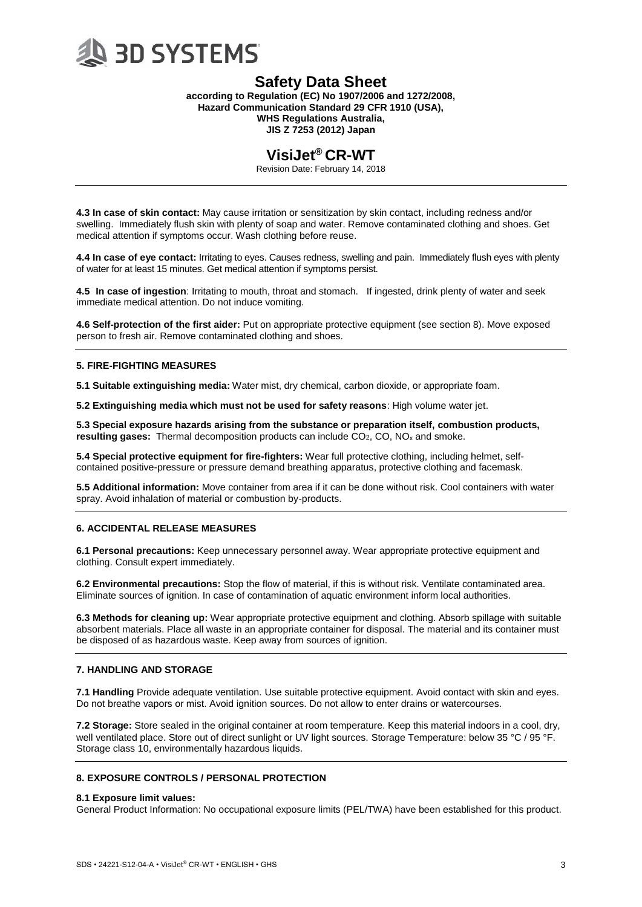

**according to Regulation (EC) No 1907/2006 and 1272/2008, Hazard Communication Standard 29 CFR 1910 (USA), WHS Regulations Australia, JIS Z 7253 (2012) Japan**

## **VisiJet® CR-WT**

Revision Date: February 14, 2018

**4.3 In case of skin contact:** May cause irritation or sensitization by skin contact, including redness and/or swelling. Immediately flush skin with plenty of soap and water. Remove contaminated clothing and shoes. Get medical attention if symptoms occur. Wash clothing before reuse.

**4.4 In case of eye contact:** Irritating to eyes. Causes redness, swelling and pain. Immediately flush eyes with plenty of water for at least 15 minutes. Get medical attention if symptoms persist.

**4.5 In case of ingestion**: Irritating to mouth, throat and stomach. If ingested, drink plenty of water and seek immediate medical attention. Do not induce vomiting.

**4.6 Self-protection of the first aider:** Put on appropriate protective equipment (see section 8). Move exposed person to fresh air. Remove contaminated clothing and shoes.

## **5. FIRE-FIGHTING MEASURES**

**5.1 Suitable extinguishing media:** Water mist, dry chemical, carbon dioxide, or appropriate foam.

**5.2 Extinguishing media which must not be used for safety reasons**: High volume water jet.

**5.3 Special exposure hazards arising from the substance or preparation itself, combustion products, resulting gases:** Thermal decomposition products can include CO<sub>2</sub>, CO, NO<sub>x</sub> and smoke.

**5.4 Special protective equipment for fire-fighters:** Wear full protective clothing, including helmet, selfcontained positive-pressure or pressure demand breathing apparatus, protective clothing and facemask.

**5.5 Additional information:** Move container from area if it can be done without risk. Cool containers with water spray. Avoid inhalation of material or combustion by-products.

## **6. ACCIDENTAL RELEASE MEASURES**

**6.1 Personal precautions:** Keep unnecessary personnel away. Wear appropriate protective equipment and clothing. Consult expert immediately.

**6.2 Environmental precautions:** Stop the flow of material, if this is without risk. Ventilate contaminated area. Eliminate sources of ignition. In case of contamination of aquatic environment inform local authorities.

**6.3 Methods for cleaning up:** Wear appropriate protective equipment and clothing. Absorb spillage with suitable absorbent materials. Place all waste in an appropriate container for disposal. The material and its container must be disposed of as hazardous waste. Keep away from sources of ignition.

## **7. HANDLING AND STORAGE**

**7.1 Handling** Provide adequate ventilation. Use suitable protective equipment. Avoid contact with skin and eyes. Do not breathe vapors or mist. Avoid ignition sources. Do not allow to enter drains or watercourses.

**7.2 Storage:** Store sealed in the original container at room temperature. Keep this material indoors in a cool, dry, well ventilated place. Store out of direct sunlight or UV light sources. Storage Temperature: below 35 °C / 95 °F. Storage class 10, environmentally hazardous liquids.

## **8. EXPOSURE CONTROLS / PERSONAL PROTECTION**

## **8.1 Exposure limit values:**

General Product Information: No occupational exposure limits (PEL/TWA) have been established for this product.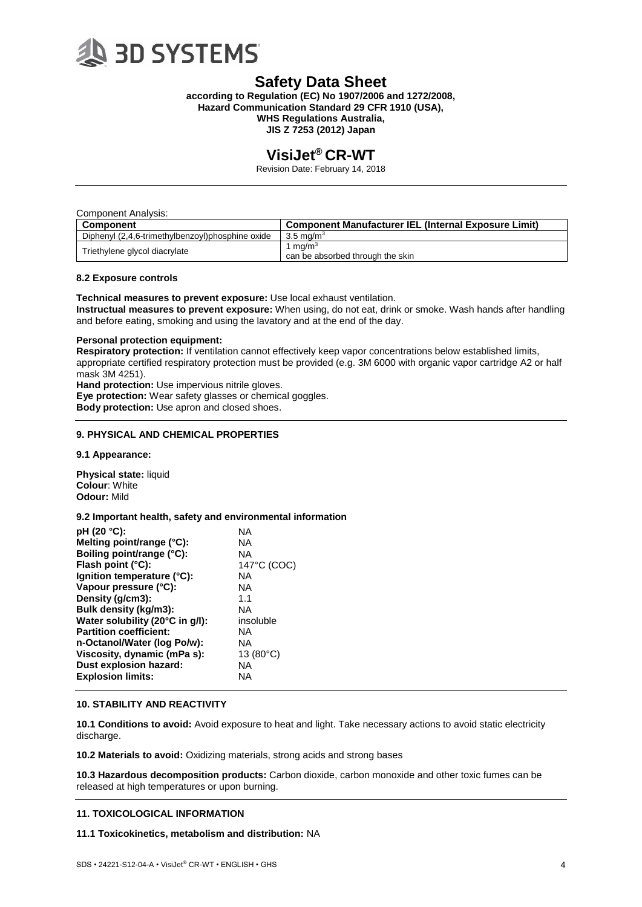

**according to Regulation (EC) No 1907/2006 and 1272/2008, Hazard Communication Standard 29 CFR 1910 (USA), WHS Regulations Australia, JIS Z 7253 (2012) Japan**

## **VisiJet® CR-WT**

Revision Date: February 14, 2018

| Component Analysis:                              |                                                      |
|--------------------------------------------------|------------------------------------------------------|
| Component                                        | Component Manufacturer IEL (Internal Exposure Limit) |
| Diphenyl (2,4,6-trimethylbenzoyl)phosphine oxide | 3.5 ma/m $^3$                                        |
| Triethylene glycol diacrylate                    | 1 mg/m $3$<br>can be absorbed through the skin       |

#### **8.2 Exposure controls**

**Technical measures to prevent exposure:** Use local exhaust ventilation. **Instructual measures to prevent exposure:** When using, do not eat, drink or smoke. Wash hands after handling and before eating, smoking and using the lavatory and at the end of the day.

#### **Personal protection equipment:**

**Respiratory protection:** If ventilation cannot effectively keep vapor concentrations below established limits, appropriate certified respiratory protection must be provided (e.g. 3M 6000 with organic vapor cartridge A2 or half mask 3M 4251).

**Hand protection:** Use impervious nitrile gloves. **Eye protection:** Wear safety glasses or chemical goggles. **Body protection:** Use apron and closed shoes.

## **9. PHYSICAL AND CHEMICAL PROPERTIES**

**9.1 Appearance:**

**Physical state:** liquid **Colour**: White **Odour:** Mild

## **9.2 Important health, safety and environmental information**

| pH (20 °C):                     | ΝA                 |
|---------------------------------|--------------------|
| Melting point/range (°C):       | ΝA                 |
| Boiling point/range (°C):       | NA                 |
| Flash point (°C):               | 147°C (COC)        |
| lgnition temperature (°C):      | ΝA                 |
| Vapour pressure (°C):           | NA                 |
| Density (g/cm3):                | 1.1                |
| Bulk density (kg/m3):           | NA                 |
| Water solubility (20°C in g/l): | insoluble          |
| <b>Partition coefficient:</b>   | <b>NA</b>          |
| n-Octanol/Water (log Po/w):     | NA                 |
| Viscosity, dynamic (mPa s):     | 13 $(80^{\circ}C)$ |
| Dust explosion hazard:          | ΝA                 |
| <b>Explosion limits:</b>        | ΝA                 |

## **10. STABILITY AND REACTIVITY**

**10.1 Conditions to avoid:** Avoid exposure to heat and light. Take necessary actions to avoid static electricity discharge.

**10.2 Materials to avoid:** Oxidizing materials, strong acids and strong bases

**10.3 Hazardous decomposition products:** Carbon dioxide, carbon monoxide and other toxic fumes can be released at high temperatures or upon burning.

## **11. TOXICOLOGICAL INFORMATION**

#### **11.1 Toxicokinetics, metabolism and distribution:** NA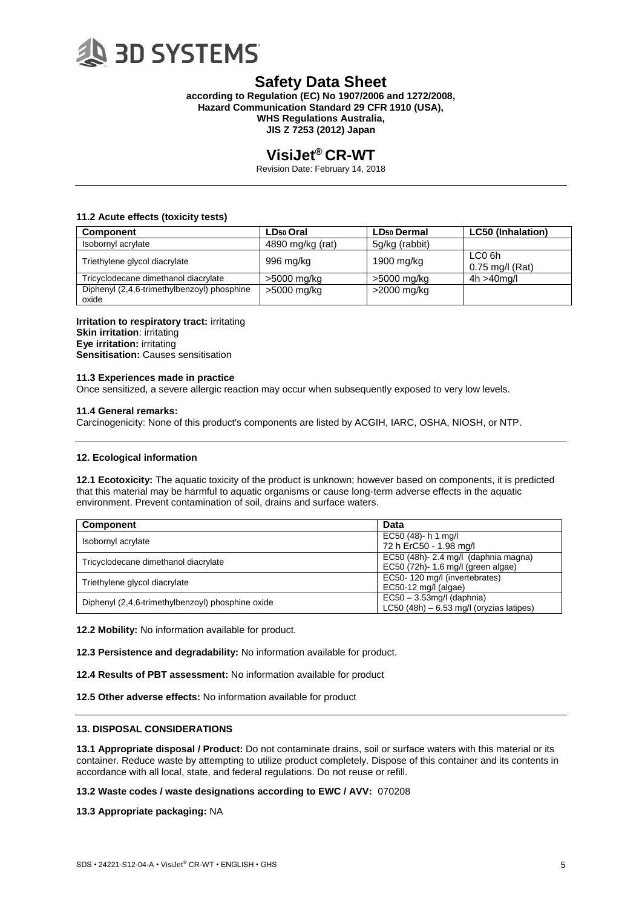

**according to Regulation (EC) No 1907/2006 and 1272/2008, Hazard Communication Standard 29 CFR 1910 (USA), WHS Regulations Australia, JIS Z 7253 (2012) Japan**

## **VisiJet® CR-WT**

Revision Date: February 14, 2018

## **11.2 Acute effects (toxicity tests)**

| Component                                            | LD <sub>50</sub> Oral | <b>LD<sub>50</sub></b> Dermal | <b>LC50 (Inhalation)</b>                |
|------------------------------------------------------|-----------------------|-------------------------------|-----------------------------------------|
| Isobornyl acrylate                                   | 4890 mg/kg (rat)      | 5g/kg (rabbit)                |                                         |
| Triethylene glycol diacrylate                        | 996 mg/kg             | 1900 mg/kg                    | LC <sub>0</sub> 6h<br>$0.75$ mg/l (Rat) |
| Tricyclodecane dimethanol diacrylate                 | >5000 mg/kg           | >5000 mg/kg                   | $4h > 40$ mg/l                          |
| Diphenyl (2,4,6-trimethylbenzoyl) phosphine<br>oxide | >5000 mg/kg           | >2000 mg/kg                   |                                         |

**Irritation to respiratory tract:** irritating **Skin irritation**: irritating **Eye irritation:** irritating **Sensitisation:** Causes sensitisation

#### **11.3 Experiences made in practice**

Once sensitized, a severe allergic reaction may occur when subsequently exposed to very low levels.

#### **11.4 General remarks:**

Carcinogenicity: None of this product's components are listed by ACGIH, IARC, OSHA, NIOSH, or NTP.

## **12. Ecological information**

**12.1 Ecotoxicity:** The aquatic toxicity of the product is unknown; however based on components, it is predicted that this material may be harmful to aquatic organisms or cause long-term adverse effects in the aquatic environment. Prevent contamination of soil, drains and surface waters.

| <b>Component</b>                                  | Data                                      |  |
|---------------------------------------------------|-------------------------------------------|--|
| Isobornyl acrylate                                | EC50 (48)- h 1 mg/l                       |  |
|                                                   | 72 h ErC50 - 1.98 mg/l                    |  |
| Tricyclodecane dimethanol diacrylate              | EC50 (48h)- 2.4 mg/l (daphnia magna)      |  |
|                                                   | EC50 (72h)- 1.6 mg/l (green algae)        |  |
|                                                   | EC50-120 mg/l (invertebrates)             |  |
| Triethylene glycol diacrylate                     | $EC50-12$ mg/l (algae)                    |  |
| Diphenyl (2,4,6-trimethylbenzoyl) phosphine oxide | $EC50 - 3.53$ mg/l (daphnia)              |  |
|                                                   | LC50 (48h) $-6.53$ mg/l (oryzias latipes) |  |

**12.2 Mobility:** No information available for product.

**12.3 Persistence and degradability:** No information available for product.

**12.4 Results of PBT assessment:** No information available for product

**12.5 Other adverse effects:** No information available for product

## **13. DISPOSAL CONSIDERATIONS**

**13.1 Appropriate disposal / Product:** Do not contaminate drains, soil or surface waters with this material or its container. Reduce waste by attempting to utilize product completely. Dispose of this container and its contents in accordance with all local, state, and federal regulations. Do not reuse or refill.

**13.2 Waste codes / waste designations according to EWC / AVV:** 070208

**13.3 Appropriate packaging:** NA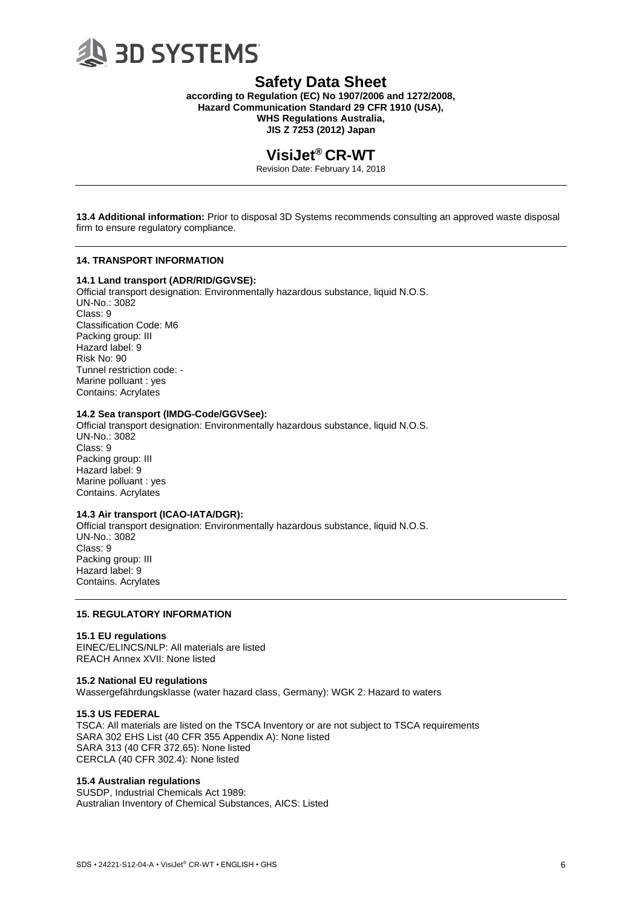

**according to Regulation (EC) No 1907/2006 and 1272/2008, Hazard Communication Standard 29 CFR 1910 (USA), WHS Regulations Australia, JIS Z 7253 (2012) Japan**

## **VisiJet® CR-WT**

Revision Date: February 14, 2018

**13.4 Additional information:** Prior to disposal 3D Systems recommends consulting an approved waste disposal firm to ensure regulatory compliance.

## **14. TRANSPORT INFORMATION**

## **14.1 Land transport (ADR/RID/GGVSE):**

Official transport designation: Environmentally hazardous substance, liquid N.O.S. UN-No.: 3082 Class: 9 Classification Code: M6 Packing group: III Hazard label: 9 Risk No: 90 Tunnel restriction code: - Marine polluant : yes Contains: Acrylates

## **14.2 Sea transport (IMDG-Code/GGVSee):**

Official transport designation: Environmentally hazardous substance, liquid N.O.S. UN-No.: 3082 Class: 9 Packing group: III Hazard label: 9 Marine polluant : yes Contains. Acrylates

## **14.3 Air transport (ICAO-IATA/DGR):**

Official transport designation: Environmentally hazardous substance, liquid N.O.S. UN-No.: 3082 Class: 9 Packing group: III Hazard label: 9 Contains. Acrylates

## **15. REGULATORY INFORMATION**

#### **15.1 EU regulations**

EINEC/ELINCS/NLP: All materials are listed REACH Annex XVII: None listed

#### **15.2 National EU regulations**

Wassergefährdungsklasse (water hazard class, Germany): WGK 2: Hazard to waters

#### **15.3 US FEDERAL**

TSCA: All materials are listed on the TSCA Inventory or are not subject to TSCA requirements SARA 302 EHS List (40 CFR 355 Appendix A): None listed SARA 313 (40 CFR 372.65): None listed CERCLA (40 CFR 302.4): None listed

## **15.4 Australian regulations**

SUSDP, Industrial Chemicals Act 1989: Australian Inventory of Chemical Substances, AICS: Listed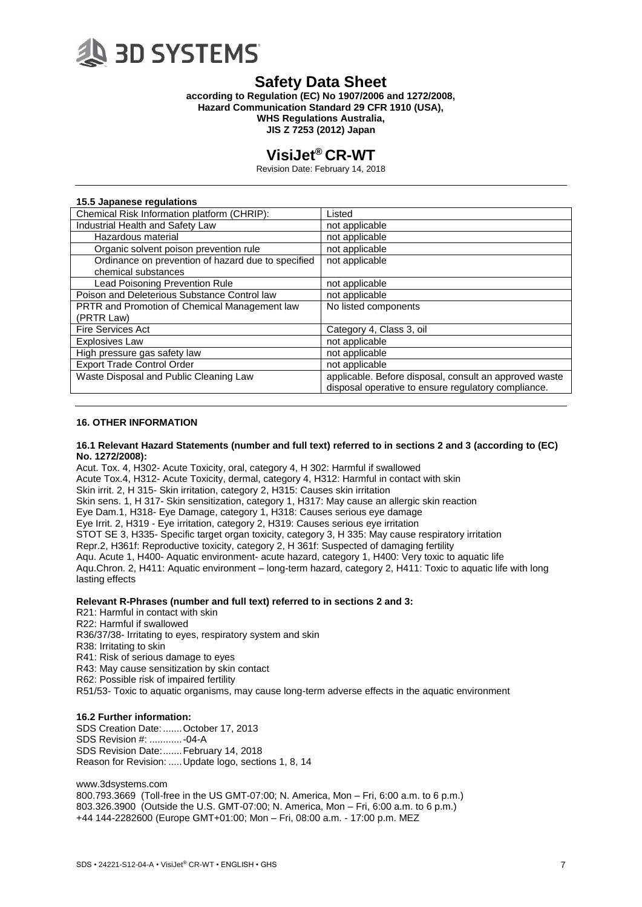

**according to Regulation (EC) No 1907/2006 and 1272/2008, Hazard Communication Standard 29 CFR 1910 (USA), WHS Regulations Australia, JIS Z 7253 (2012) Japan**

# **VisiJet® CR-WT**

Revision Date: February 14, 2018

### **15.5 Japanese regulations**

| Chemical Risk Information platform (CHRIP):          | Listed                                                 |
|------------------------------------------------------|--------------------------------------------------------|
| Industrial Health and Safety Law                     | not applicable                                         |
| Hazardous material                                   | not applicable                                         |
| Organic solvent poison prevention rule               | not applicable                                         |
| Ordinance on prevention of hazard due to specified   | not applicable                                         |
| chemical substances                                  |                                                        |
| Lead Poisoning Prevention Rule                       | not applicable                                         |
| Poison and Deleterious Substance Control law         | not applicable                                         |
| <b>PRTR and Promotion of Chemical Management law</b> | No listed components                                   |
| (PRTR Law)                                           |                                                        |
| <b>Fire Services Act</b>                             | Category 4, Class 3, oil                               |
| <b>Explosives Law</b>                                | not applicable                                         |
| High pressure gas safety law                         | not applicable                                         |
| <b>Export Trade Control Order</b>                    | not applicable                                         |
| Waste Disposal and Public Cleaning Law               | applicable. Before disposal, consult an approved waste |
|                                                      | disposal operative to ensure regulatory compliance.    |
|                                                      |                                                        |

## **16. OTHER INFORMATION**

#### **16.1 Relevant Hazard Statements (number and full text) referred to in sections 2 and 3 (according to (EC) No. 1272/2008):**

Acut. Tox. 4, H302- Acute Toxicity, oral, category 4, H 302: Harmful if swallowed Acute Tox.4, H312- Acute Toxicity, dermal, category 4, H312: Harmful in contact with skin Skin irrit. 2, H 315- Skin irritation, category 2, H315: Causes skin irritation Skin sens. 1, H 317- Skin sensitization, category 1, H317: May cause an allergic skin reaction Eye Dam.1, H318- Eye Damage, category 1, H318: Causes serious eye damage Eye Irrit. 2, H319 - Eye irritation, category 2, H319: Causes serious eye irritation STOT SE 3, H335- Specific target organ toxicity, category 3, H 335: May cause respiratory irritation Repr.2, H361f: Reproductive toxicity, category 2, H 361f: Suspected of damaging fertility Aqu. Acute 1, H400- Aquatic environment- acute hazard, category 1, H400: Very toxic to aquatic life Aqu.Chron. 2, H411: Aquatic environment – long-term hazard, category 2, H411: Toxic to aquatic life with long lasting effects

## **Relevant R-Phrases (number and full text) referred to in sections 2 and 3:**

- R21: Harmful in contact with skin
- R22: Harmful if swallowed

R36/37/38- Irritating to eyes, respiratory system and skin

- R38: Irritating to skin
- R41: Risk of serious damage to eyes

R43: May cause sensitization by skin contact

R62: Possible risk of impaired fertility

R51/53- Toxic to aquatic organisms, may cause long-term adverse effects in the aquatic environment

## **16.2 Further information:**

SDS Creation Date:.......October 17, 2013 SDS Revision #: ............-04-A SDS Revision Date:.......February 14, 2018 Reason for Revision: .....Update logo, sections 1, 8, 14

www.3dsystems.com

800.793.3669 (Toll-free in the US GMT-07:00; N. America, Mon – Fri, 6:00 a.m. to 6 p.m.) 803.326.3900 (Outside the U.S. GMT-07:00; N. America, Mon – Fri, 6:00 a.m. to 6 p.m.) +44 144-2282600 (Europe GMT+01:00; Mon – Fri, 08:00 a.m. - 17:00 p.m. MEZ